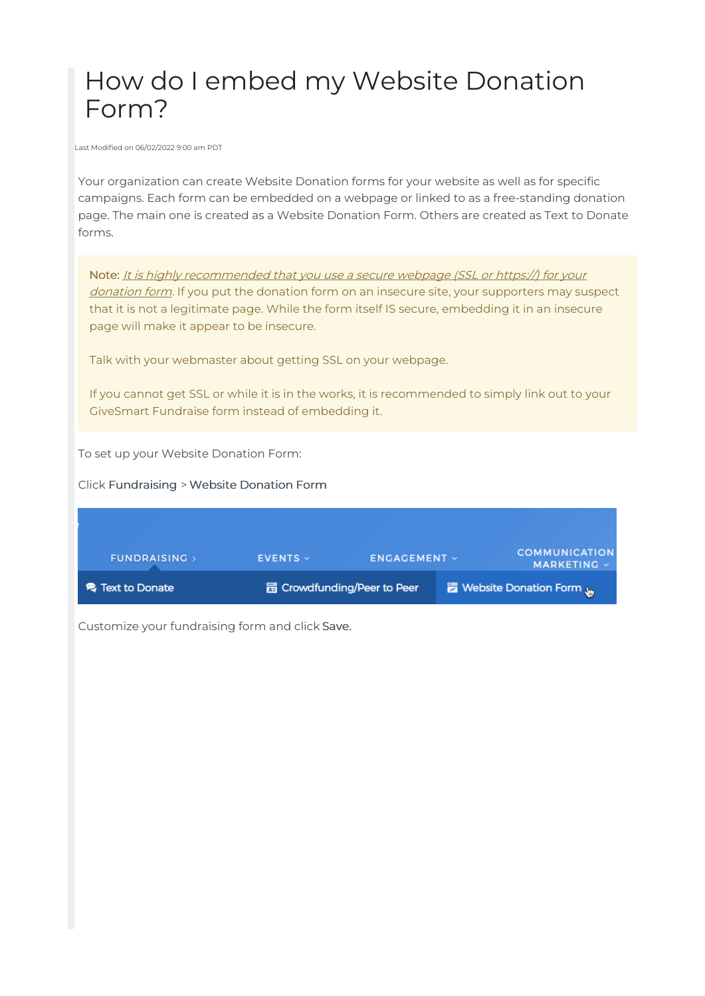# How do I embed my Website Donation Form?

Last Modified on 06/02/2022 9:00 am PDT

Your organization can create Website Donation forms for your website as well as for specific campaigns. Each form can be embedded on a webpage or linked to as a free-standing donation page. The main one is created as a Website Donation Form. Others are created as Text to Donate forms.

Note: It is highly recommended that you use a secure webpage (SSL or https://) for your donation form. If you put the donation form on an insecure site, your supporters may suspect that it is not a legitimate page. While the form itself IS secure, embedding it in an insecure page will make it appear to be insecure.

Talk with your webmaster about getting SSL on your webpage.

If you cannot get SSL or while it is in the works, it is recommended to simply link out to your GiveSmart Fundraise form instead of embedding it.

To set up your Website Donation Form:

Click Fundraising > Website Donation Form

| <b>FUNDRAISING</b> >    | $EVENTS \vee$ | <b>ENGAGEMENT V</b>                | <b>COMMUNICATION</b><br>MARKETING V |
|-------------------------|---------------|------------------------------------|-------------------------------------|
| <b>电 Text to Donate</b> |               | <b>品 Crowdfunding/Peer to Peer</b> | <b>Ex Website Donation Form</b>     |

Customize your fundraising form and click Save.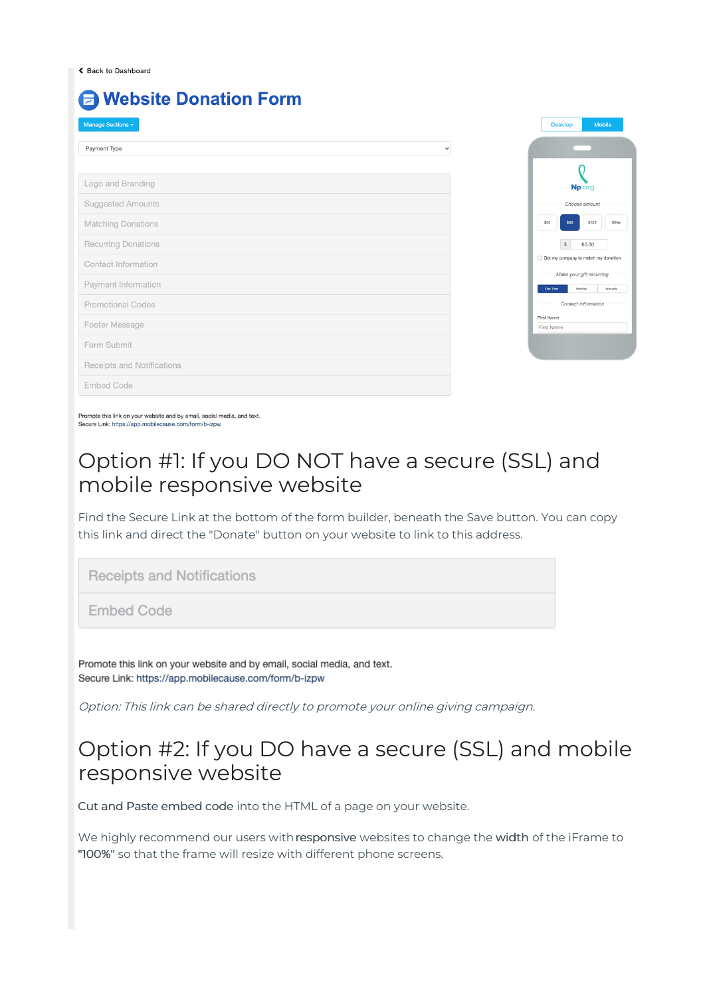#### **A Website Donation Form**

| Manage Sections $\star$      |
|------------------------------|
|                              |
| Payment Type<br>$\checkmark$ |
|                              |
| Logo and Branding            |
| <b>Suggested Amounts</b>     |
| <b>Matching Donations</b>    |
| <b>Recurring Donations</b>   |
| Contact Information          |
| Payment Information          |
| <b>Promotional Codes</b>     |
| Footer Message               |
| Form Submit                  |
| Receipts and Notifications   |
| <b>Embed Code</b>            |
|                              |



Promote this link on your website and by email, social media, and text. Secure Link: https://app.mobilecause.com/form/b-izpw

### Option #1: If you DO NOT have a secure (SSL) and mobile responsive website

Find the Secure Link at the bottom of the form builder, beneath the Save button. You can copy this link and direct the "Donate" button on your website to link to this address.

Receipts and Notifications

**Embed Code** 

Promote this link on your website and by email, social media, and text. Secure Link: https://app.mobilecause.com/form/b-izpw

Option: This link can be shared directly to promote your online giving campaign.

### Option #2: If you DO have a secure (SSL) and mobile responsive website

Cut and Paste embed code into the HTML of a page on your website.

We highly recommend our users with responsive websites to change the width of the iFrame to "100%" so that the frame will resize with different phone screens.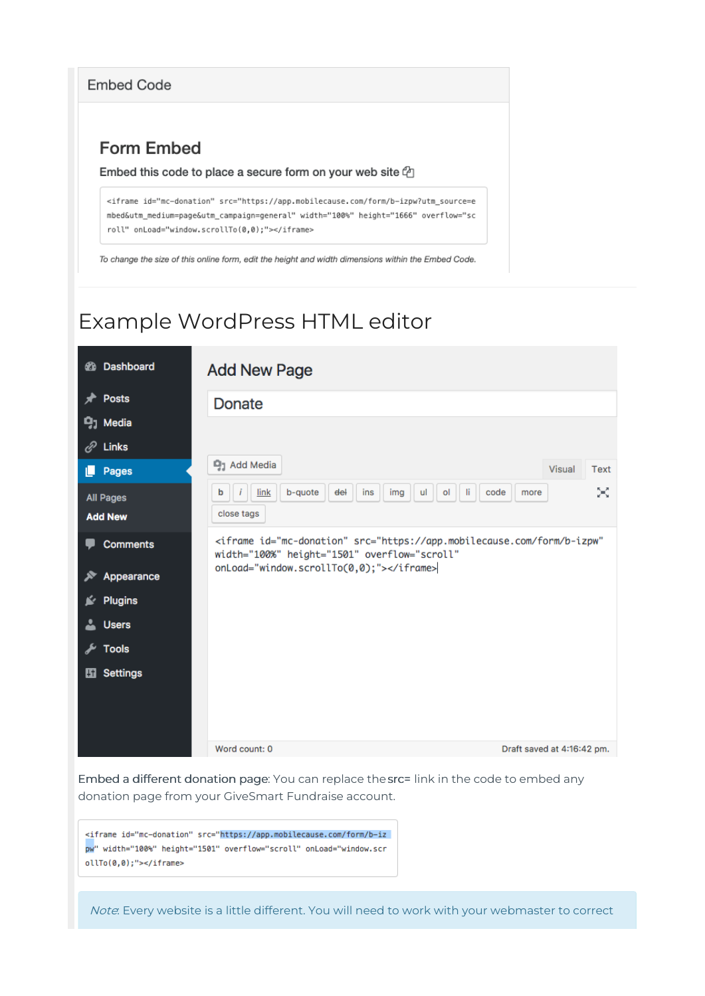**Embed Code** 

#### **Form Embed**

#### Embed this code to place a secure form on your web site  $\bigoplus$

<iframe id="mc-donation" src="https://app.mobilecause.com/form/b-izpw?utm\_source=e mbed&utm\_medium=page&utm\_campaign=general" width="100%" height="1666" overflow="sc roll" onLoad="window.scrollTo(0,0);"></iframe>

To change the size of this online form, edit the height and width dimensions within the Embed Code.

## Example WordPress HTML editor

| Dashboard<br>☎                     | <b>Add New Page</b>                                                                                                                 |      |
|------------------------------------|-------------------------------------------------------------------------------------------------------------------------------------|------|
| <b>Posts</b>                       | <b>Donate</b>                                                                                                                       |      |
| <b>P<sub>1</sub></b> Media         |                                                                                                                                     |      |
| ℰ<br>Links                         |                                                                                                                                     |      |
| Pages                              | <sup>g</sup> 1 Add Media<br><b>Visual</b>                                                                                           | Text |
| <b>All Pages</b><br><b>Add New</b> | link<br>b-quote<br>del<br>ins<br>li<br>code<br>img<br>ul<br>ol<br>b<br>more<br>close tags                                           | ×    |
| <b>Comments</b>                    | <iframe <br="" id="mc-donation" src="https://app.mobilecause.com/form/b-izpw">width="100%" height="1501" overflow="scroll"</iframe> |      |
| Appearance                         | onLoad="window.scrollTo(0,0);">                                                                                                     |      |
| Plugins                            |                                                                                                                                     |      |
| <b>Users</b>                       |                                                                                                                                     |      |
| <b>Tools</b>                       |                                                                                                                                     |      |
| <b>Settings</b><br>H               |                                                                                                                                     |      |
|                                    | Word count: 0<br>Draft saved at 4:16:42 pm.                                                                                         |      |

Embed a different donation page: You can replace the src= link in the code to embed any donation page from your GiveSmart Fundraise account.

<iframe id="mc-donation" src="https://app.mobilecause.com/form/b-iz pw" width="100%" height="1501" overflow="scroll" onLoad="window.scr  $011To(0,0);$ "></iframe>

Note: Every website is a little different. You will need to work with your webmaster to correct